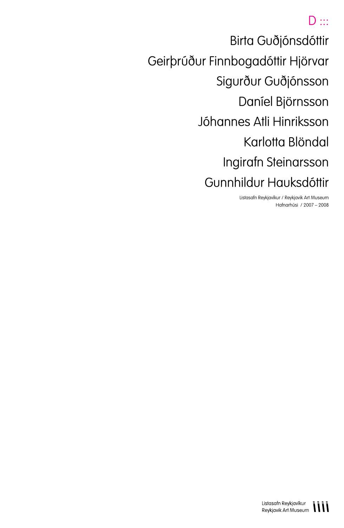# $D \cdots$

Birta Guðjónsdóttir Geirþrúður Finnbogadóttir Hjörvar Sigurður Guðjónsson Daníel Björnsson Jóhannes Atli Hinriksson Karlotta Blöndal Ingirafn Steinarsson Gunnhildur Hauksdóttir

> Listasafn Reykjavíkur / Reykjavik Art Museum Hafnarhúsi / 2007 – 2008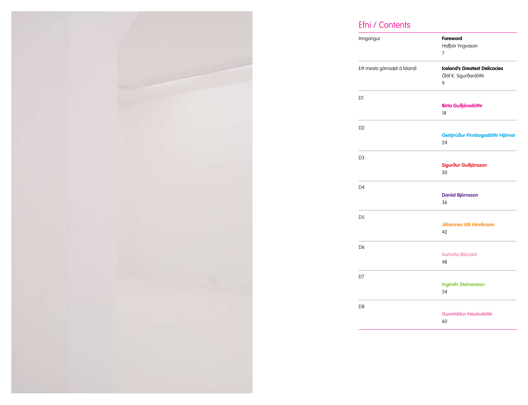

# Efni / Contents

| Inngangur                    | Foreword<br>Hafbór Yngvason<br>7                                    |
|------------------------------|---------------------------------------------------------------------|
| Eitt mesta gómsæti á Íslandi | <b>Iceland's Greatest Delicacies</b><br>Ólöf K. Sigurðardóttir<br>9 |
| D1                           | <b>Birta Guðjónsdóttir</b><br>18                                    |
| D <sub>2</sub>               | Geirþrúður Finnbogadóttir Hjörvar<br>24                             |
| D <sub>3</sub>               | Sigurður Guðjónsson<br>30                                           |
| D <sub>4</sub>               | <b>Daniel Björnsson</b><br>36                                       |
| D <sub>5</sub>               | <b>Jóhannes Atli Hinriksson</b><br>42                               |
| D <sub>6</sub>               | <b>Karlotta Blöndal</b><br>48                                       |
| D7                           | <b>Ingirafn Steinarsson</b><br>54                                   |
| D <sub>8</sub>               | <b>Gunnhildur Hauksdóttir</b><br>60                                 |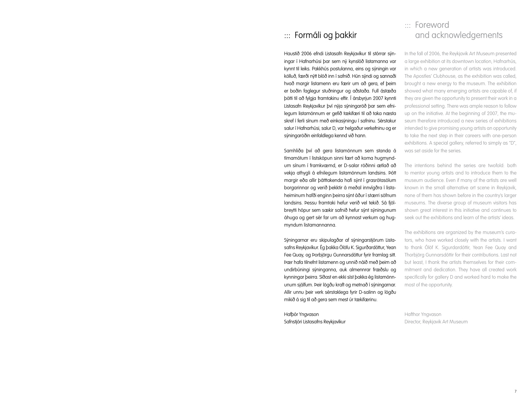# ::: Formáli og þakkir

Haustið 2006 efndi Listasafn Reykjavíkur til stórrar sýningar í Hafnarhúsi þar sem ný kynslóð listamanna var kynnt til leiks. Pakkhús postulanna, eins og sýningin var kölluð, færði nýtt blóð inn í safnið. Hún sýndi og sannaði hvað margir listamenn eru færir um að gera, ef þeim er boðin faglegur stuðningur og aðstaða. Full ástæða þótti til að fylgja framtakinu eftir. Í ársbyrjun 2007 kynnti Listasafn Reykjavíkur því nýja sýningaröð þar sem efnilegum listamönnum er gefið tækifæri til að taka næsta skref í ferli sínum með einkasýningu í safninu. Sérstakur salur í Hafnarhúsi, salur D, var helgaður verkefninu og er sýningaröðin einfaldlega kennd við hann.

Samhliða því að gera listamönnum sem standa á tímamótum í listsköpun sinni fært að koma hugmyndum sínum í framkvæmd, er D-salar röðinni ætlað að vekja athygli á efnilegum listamönnum landsins. Þótt margir eða allir þátttakenda hafi sýnt í grasrótasölum borgarinnar og verið þekktir á meðal innvígðra í listaheiminum hafði enginn þeirra sýnt áður í stærri söfnum landsins. Þessu framtaki hefur verið vel tekið. Sá fjölbreytti hópur sem sækir safnið hefur sýnt sýningunum áhuga og gert sér far um að kynnast verkum og hugmyndum listamannanna.

Sýningarnar eru skipulagðar af sýningarstjórum Listasafns Reykjavíkur. Ég þakka Ólöfu K. Sigurðardóttur, Yean Fee Quay, og Þorbjörgu Gunnarsdóttur fyrir framlag sitt. Þær hafa tilnefnt listamenn og unnið náið með þeim að undirbúningi sýninganna, auk almennrar fræðslu og kynningar þeirra. Síðast en ekki síst þakka ég listamönnunum sjálfum. Þeir lögðu kraft og metnað í sýningarnar. Allir unnu þeir verk sérstaklega fyrir D-salinn og lögðu mikið á sig til að gera sem mest úr tækifærinu.

Hafþór Yngvason Safnstjóri Listasafns Reykjavíkur

# ::: Foreword and acknowledgements

In the fall of 2006, the Reykjavik Art Museum presented a large exhibition at its downtown location, Hafnarhús, in which a new generation of artists was introduced. The Apostles' Clubhouse, as the exhibition was called, brought a new energy to the museum. The exhibition showed what many emerging artists are capable of, if they are given the opportunity to present their work in a professional setting. There was ample reason to follow up on the initiative. At the beginning of 2007, the museum therefore introduced a new series of exhibitions intended to give promising young artists an opportunity to take the next step in their careers with one-person exhibitions. A special gallery, referred to simply as "D", was set aside for the series.

The intentions behind the series are twofold: both to mentor young artists and to introduce them to the museum audience. Even if many of the artists are well known in the small alternative art scene in Reykjavik, none of them has shown before in the country's larger museums. The diverse group of museum visitors has shown great interest in this initiative and continues to seek out the exhibitions and learn of the artists' ideas.

The exhibitions are organized by the museum's curators, who have worked closely with the artists. I want to thank Ólöf K. Sigurdardóttir, Yean Fee Quay and Thorbjörg Gunnarsdóttir for their contributions. Last not but least, I thank the artists themselves for their commitment and dedication. They have all created work specifically for gallery D and worked hard to make the most of the opportunity.

Hafthor Yngvason Director, Reykjavik Art Museum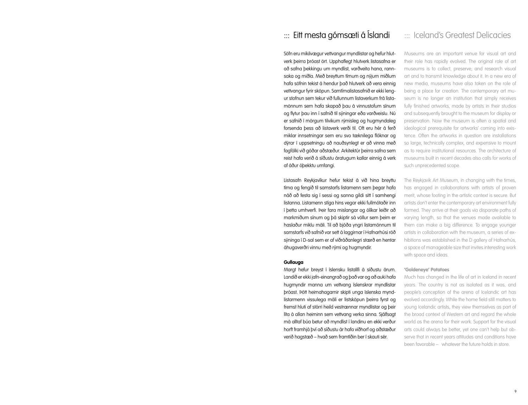# ::: Eitt mesta gómsæti á Íslandi

Söfn eru mikilvægur vettvangur myndlistar og hefur hlutverk þeirra þróast ört. Upphaflegt hlutverk listasafna er að safna þekkingu um myndlist, varðveita hana, rannsaka og miðla. Með breyttum tímum og nýjum miðlum hafa söfnin tekist á hendur það hlutverk að vera einnig vettvangur fyrir sköpun. Samtímalistasafnið er ekki lengur stofnun sem tekur við fullunnum listaverkum frá listamönnum sem hafa skapað þau á vinnustofum sínum og flytur þau inn í safnið til sýningar eða varðveislu. Nú er safnið í mörgum tilvikum rýmisleg og hugmyndaleg forsenda þess að listaverk verði til. Oft eru hér á ferð miklar innsetningar sem eru svo tæknilega flóknar og dýrar í uppsetningu að nauðsynlegt er að vinna með fagfólki við góðar aðstæður. Arkitektúr þeirra safna sem reist hafa verið á síðustu áratugum kallar einnig á verk af áður óþekktu umfangi.

Listasafn Reykjavíkur hefur tekist á við hina breyttu tíma og fengið til samstarfs listamenn sem þegar hafa náð að festa sig í sessi og sanna gildi sitt í samhengi listanna. Listamenn stíga hins vegar ekki fullmótaðir inn í þetta umhverfi. Þeir fara mislangar og ólíkar leiðir að markmiðum sínum og þá skiptir sá völlur sem þeim er haslaður miklu máli. Til að bjóða yngri listamönnum til samstarfs við safnið var sett á laggirnar í Hafnarhúsi röð sýninga í D-sal sem er af viðráðanlegri stærð en hentar áhugaverðri vinnu með rými og hugmyndir.

### **Gullauga**

Margt hefur breyst í íslensku listalífi á síðustu árum. Landið er ekki jafn-einangrað og það var og að auki hafa hugmyndir manna um vettvang íslenskrar myndlistar þróast. Þótt heimahagarnir skipti unga íslenska myndlistarmenn vissulega máli er listsköpun þeirra fyrst og fremst hluti af stórri heild vestrænnar myndlistar og þeir líta á allan heiminn sem vettvang verka sinna. Sjálfsagt má alltaf búa betur að myndlist í landinu en ekki verður horft framhjá því að síðustu ár hafa viðhorf og aðstæður verið hagstæð – hvað sem framtíðin ber í skauti sér.

## ::: Iceland's Greatest Delicacies

Museums are an important venue for visual art and their role has rapidly evolved. The original role of art museums is to collect, preserve, and research visual art and to transmit knowledge about it. In a new era of new media, museums have also taken on the role of being a place for creation. The contemporary art museum is no longer an institution that simply receives fully finished artworks, made by artists in their studios and subsequently brought to the museum for display or preservation. Now the museum is often a spatial and ideological prerequisite for artworks' coming into existence. Often the artworks in question are installations so large, technically complex, and expensive to mount as to require institutional resources. The architecture of museums built in recent decades also calls for works of such unprecedented scope.

The Reykjavik Art Museum, in changing with the times, has engaged in collaborations with artists of proven merit, whose footing in the artistic context is secure. But artists don't enter the contemporary art environment fully formed. They arrive at their goals via disparate paths of varying length, so that the venues made available to them can make a big difference. To engage younger artists in collaboration with the museum, a series of exhibitions was established in the D gallery of Hafnarhús, a space of manageable size that invites interesting work with space and ideas.

#### **'Goldeneye' Potatoes**

Much has changed in the life of art in Iceland in recent years. The country is not as isolated as it was, and people's conception of the arena of Icelandic art has evolved accordingly. While the home field still matters to young Icelandic artists, they view themselves as part of the broad context of Western art and regard the whole world as the arena for their work. Support for the visual arts could always be better, yet one can't help but observe that in recent years attitudes and conditions have been favorable – whatever the future holds in store.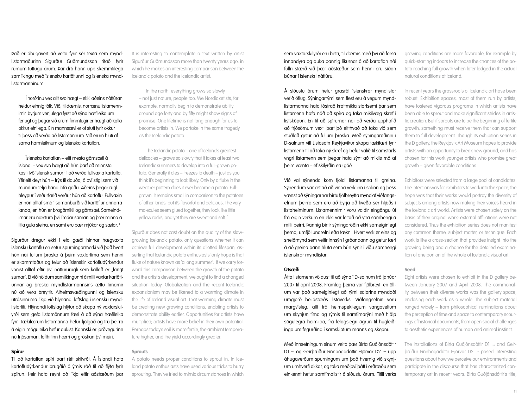Það er áhugavert að velta fyrir sér texta sem myndlistarmaðurinn Sigurður Guðmundsson ritaði fyrir rúmum tuttugu árum. Þar dró hann upp skemmtilega samlíkingu með íslensku kartöflunni og íslenska myndlistarmanninum:

Í norðrinu vex allt svo hægt – ekki aðeins náttúran heldur einnig fólk. Við, til dæmis, norrænu listamennirnir, byrjum venjulega fyrst að sýna hæfileika um fertugt og þegar við erum fimmtugir er hægt að kalla okkur efnilega. Ein mannsævi er of stutt fyrir okkur til þess að verða að listamönnum. Við erum hluti af sama harmleiknum og íslenska kartaflan.

Íslenska kartaflan – eitt mesta gómsæti á Íslandi – vex svo hægt að hún þarf að minnsta kosti tvö íslensk sumur til að verða fullvaxta kartafla. Yfirleitt deyr hún – frýs til dauða, á því stigi sem við mundum telja hana lofa góðu. Aðeins þegar rugl hleypur í veðurfarið verður hún að kartöflu. Fullvaxin er hún alltaf smá í samanburði við kartöflur annarra landa, en hún er bragðmikil og gómsæt. Sameindirnar eru næstum því límdar saman og þær minna á litla gula steina, en samt eru þær mjúkar og sætar.<sup>1</sup>

Sigurður dregur ekki í efa gæði hinnar hægvaxta íslensku kartöflu en setur spurningarmerki við það hvort hún nái fullum þroska á þeim vaxtartíma sem henni er skammtaður og telur að íslenskir kartöfludýrkendur vonist alltaf eftir því náttúrurugli sem kallað er "langt sumar". Ef við höldum samlíkingunni á milli vaxtar kartöflunnar og þroska myndlistarmannsins ættu tímarnir nú að vera breyttir. Alheimsvæðingunni og íslensku útrásinni má líkja við hlýnandi loftslag í íslensku myndlistarlífi. Hlýnandi loftslag hlýtur að skapa ný vaxtarskilyrði sem gefa listamönnum færi á að sýna hæfileika fyrr. Tækifærum listamanna hefur fjölgað og trú þeirra á eigin möguleika hefur aukist. Kannski er jarðvegurinn nú frjósamari, lofthitinn hærri og gróskan því meiri.

### **Spírur**

Til að kartaflan spíri þarf rétt skilyrði. Á Íslandi hafa kartöfludýrkendur brugðið á ýmis ráð til að flýta fyrir spírun. Þeir hafa reynt að líkja eftir aðstæðum þar

It is interesting to contemplate a text written by artist Sigurður Guðmundsson more than twenty years ago, in which he makes an interesting comparison between the Icelandic potato and the Icelandic artist:

In the north, everything grows so slowly – not just nature, people too. We Nordic artists, for example, normally begin to demonstrate ability around age forty and by fifty might show signs of promise. One lifetime is not long enough for us to become artists in. We partake in the same tragedy as the Icelandic potato.

The Icelandic potato – one of Iceland's greatest delicacies – grows so slowly that it takes at least two Icelandic summers to develop into a full-grown potato. Generally it dies – freezes to death – just as you think it's beginning to look likely. Only by a fluke in the weather pattern does it ever become a potato. Fullgrown, it remains small in comparison to the potatoes of other lands, but it's flavorful and delicious. The very molecules seem glued together, they look like little yellow rocks, and yet they are sweet and soft.

Sigurður does not cast doubt on the quality of the slowgrowing Icelandic potato, only questions whether it can achieve full development within its allotted lifespan, asserting that Icelandic potato enthusiasts' only hope is that fluke of nature known as 'a long summer'. If we carry forward this comparison between the growth of the potato and the artist's development, we ought to find a changed situation today. Globalization and the recent Icelandic expansionism may be likened to a warming climate in the life of Iceland visual art. That warming climate must be creating new growing conditions, enabling artists to demonstrate ability earlier. Opportunities for artists have multiplied; artists have more belief in their own potential. Perhaps today's soil is more fertile, the ambient temperature higher, and the yield accordingly greater.

#### **Sprouts**

A potato needs proper conditions to sprout in. In Iceland potato enthusiasts have used various tricks to hurry sprouting. They've tried to mimic circumstances in which

sem vaxtarskilyrði eru betri, til dæmis með því að forsá innandyra og auka þannig líkurnar á að kartaflan nái fullri stærð við þær aðstæður sem henni eru síðan búnar í íslenskri náttúru.

Á síðustu árum hefur grasrót íslenskrar myndlistar verið öflug. Sýningarrými sem flest eru á vegum myndlistarmanna hafa fóstrað kraftmikla starfsemi þar sem listamenn hafa náð að spíra og taka mikilvæg skref í listsköpun. En til að spírurnar nái að verða upphafið að frjósömum vexti þarf þó eitthvað að taka við sem stuðlað getur að fullum þroska. Með sýningaröðinni í D-salnum vill Listasafn Reykjavíkur skapa tækifæri fyrir listamenn til að taka ný skref og hefur valið til samstarfs yngri listamenn sem þegar hafa sýnt að mikils má af þeim vænta – ef skilyrðin eru góð.

Við val sýnenda kom fjöldi listamanna til greina. Sýnendum var ætlað að vinna verk inn í salinn og þess vænst að sýningarnar birtu fjölbreytta mynd af viðfangsefnum þeirra sem eru að byrja að kveða sér hljóðs í listaheiminum. Listamennirnir voru valdir eingöngu út frá eigin verkum en ekki var leitað að ytra samhengi á milli þeirri. Þannig birtir sýningaröðin ekki sameiginlegt þema, umfjöllunarefni eða tækni. Hvert verk er eins og sneiðmynd sem veitir innsýn í gróandann og gefur færi á að greina þann hluta sem hún sýnir í víðu samhengi íslenskrar myndlistar.

### **Útsæði**

Átta listamenn völdust til að sýna í D-salnum frá janúar 2007 til apríl 2008. Framlag þeirra var fjölbreytt en öllum var það sameiginlegt að rými salarins myndaði umgjörð heildstæðs listaverks. Viðfangsefnin voru margvísleg, allt frá heimspekilegum vangaveltum um skynjun tíma og rýmis til samtímarýni með hjálp sögulegra heimilda, frá félagslegri ögrun til hugleiðinga um fegurðina í samskiptum manns og skepnu.

Með innsetningum sínum velta þær Birta Guðjónsdóttir D1 ::: og Geirþrúður Finnbogadóttir Hjörvar D2 ::: upp áhugaverðum spurningum um það hvernig við skynjum umhverfi okkar, og taka með því þátt í orðræðu sem einkennt hefur samtímalistir á síðustu árum. Titill verks growing conditions are more favorable, for example by quick-starting indoors to increase the chances of the potato reaching full growth when later lodged in the actual natural conditions of Iceland.

In recent years the grassroots of Icelandic art have been robust. Exhibition spaces, most of them run by artists, have fostered vigorous programs in which artists have been able to sprout and make significant strides in artistic creation. But if sprouts are to be the beginning of fertile growth, something must receive them that can support them to full development. Though its exhibition series in the D gallery, the Reykjavik Art Museum hopes to provide artists with an opportunity to break new ground, and has chosen for this work younger artists who promise great growth – given favorable conditions.

Exhibitors were selected from a large pool of candidates. The intention was for exhibitors to work into the space; the hope was that their works would portray the diversity of subjects among artists now making their voices heard in the Icelandic art world. Artists were chosen solely on the basis of their original work; external affiliations were not considered. Thus the exhibition series does not manifest any common theme, subject matter, or technique. Each work is like a cross-section that provides insight into the growing being and a chance for the detailed examination of one portion of the whole of Icelandic visual art.

### **Seed**

Eight artists were chosen to exhibit in the D gallery between January 2007 and April 2008. The commonality between their diverse works was the gallery space, enclosing each work as a whole. The subject material ranged widely – from philosophical ruminations about the perception of time and space to contemporary scourings of historical documents, from open social challenges to aesthetic experiences of human and animal instinct.

The installations of Birta Guðjónsdóttir D1 ::: and Geirþrúður Finnbogadóttir Hjörvar D2 ::: posed interesting questions about how we perceive our environments and participate in the discourse that has characterized contemporary art in recent years. Birta Guðjónsdóttir's title,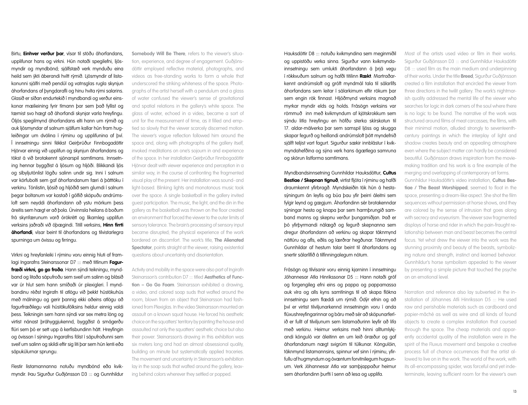Birtu, **Einhver verður þar**, vísar til stöðu áhorfandans, upplifunar hans og virkni. Hún notaði spegilefni, ljósmyndir og myndbönd; sjálfstæð verk mynduðu eina heild sem ýkti áberandi hvítt rýmið. Ljósmyndir af listakonunni sjálfri með pendúl og vatnsglas rugla skynjun áhorfandans af þyngdarafli og hinu hvíta rými salarins. Glasið er síðan endurtekið í myndbandi og verður einskonar mælieining fyrir tímann þar sem það fyllist og tæmist svo hægt að áhorfandi skynjar varla hreyfingu. Óljós spegilmynd áhorfandans elti hann um rýmið og auk ljósmyndar af salnum sjálfum kallar hún fram hugleiðingar um dvölina í rýminu og upplifunina af því. Í innsetningu sinni fékkst Geirþrúður Finnbogadóttir Hjörvar einnig við upplifun og skynjun áhorfandans og tókst á við brotakennt sjónarspil samtímans. Innsetning hennar byggðist á ljósum og hljóði. Blikkandi ljós og síbyljutónlist lögðu salinn undir sig. Inni í salnum var körfubolti sem gaf áhorfandanum færi á þátttöku í verkinu. Tónlistin, ljósið og hljóðið sem glumdi í salnum þegar boltanum var kastað í gólfið sköpuðu andrúmsloft sem neyddi áhorfandann að ystu mörkum þess áreitis sem hægt er að þola. Úrvinnsla heilans á boðum frá skynfærunum varð órökrétt og líkamleg upplifun verksins jaðraði við óþægindi. Titill verksins, **Hinn firrti áhorfandi**, vísar beint til áhorfandans og tilvistarlegra spurninga um óvissu og firringu.

Virkni og hreyfanleiki í rýminu voru einnig hluti af framlagi Ingarafns Steinarssonar D7 ::: með titlinum **Fagurfræði virkni, go go froða**. Hann sýndi teikningu, myndband og litaða sápufroðu sem sveif um salinn og blásið var úr hlut sem hann smíðaði úr plexigleri. Í myndbandinu réðst Ingirafn til atlögu við þekkt hústökuhús með málningu og gerir þannig ekki aðeins atlögu að fagurfræðilegu vali hústökufólksins heldur einnig valdi þess. Teikningin sem hann sýndi var sex metra löng og virtist nánast þráhyggjukennd, byggðist á smágerðu flúri sem þó er sett upp á kerfisbundinn hátt. Hreyfingin og óvissan í sýningu Ingarafns fólst í sápufroðunni sem sveif um salinn og skildi eftir sig liti þar sem hún lenti eða sápukúlurnar sprungu.

Flestir listamannanna notuðu myndbönd eða kvikmyndir. Þau Sigurður Guðjónsson D3 ::: og Gunnhildur **Somebody Will Be There**, refers to the viewer's situation, experience, and degree of engagement. Guðjónsdóttir employed reflective material, photographs, and videos as free-standing works to form a whole that underscored the striking whiteness of the space. Photographs of the artist herself with a pendulum and a glass of water confused the viewer's sense of gravitational and spatial relations in the gallery's white space. The glass of water, echoed in a video, became a sort of unit for the measurement of time, as it filled and emptied so slowly that the viewer scarcely discerned motion. The viewer's vague reflection followed him around the space and, along with photographs of the gallery itself, invoked meditations on one's sojourn in and experience of the space. In her installation Geirþrúður Finnbogadóttir Hjörvar dealt with viewer experience and perception in a similar way, in the course of confronting the fragmented visual play of the present. Her installation was sound- and light-based. Blinking lights and monotonous music took over the space. A single basketball in the gallery invited guest participation. The music, the light, and the din in the gallery as the basketball was thrown on the floor created an environment that forced the viewer to the outer limits of sensory tolerance. The brain's processing of sensory input became disrupted; the physical experience of the work bordered on discomfort. The work's title, **The Alienated Spectator**, points straight at the viewer, raising existential questions about uncertainty and disorientation.

Activity and mobility in the space were also part of Ingirafn Steinarsson's contribution D7 ::: titled **Aesthetics of Function – Go Go Foam**. Steinarsson exhibited a drawing, a video, and colored soap suds that wafted around the room, blown from an object that Steinarsson had fashioned from Plexiglas. In the video Steinarsson mounted an assault on a known squat house. He forced his aesthetic choice on the squatters' territory by painting the house and assaulted not only the squatters' aesthetic choice but also their power. Steinarsson's drawing in this exhibition was six meters long and had an almost obsessional quality, building on minute but systematically applied traceries. The movement and uncertainty in Steinarsson's exhibition lay in the soap suds that wafted around the gallery, leaving behind colors wherever they settled or popped.

Hauksdóttir D8 ::: notuðu kvikmyndina sem meginmiðil og uppistöðu verka sinna. Sigurður vann kvikmyndainnsetningu sem umlukti áhorfandann á briá vegu í rökkvuðum salnum og hafði titilinn **Rækt**. Martraðarkennt andrúmsloft og gróft myndmál tala til sálarlífs áhorfandans sem leitar í sálarkimum eftir rökum þar sem engin rök finnast. Hljóðmynd verksins magnað myrkar myndir elds og holds. Frásögn verksins var römmuð inn með kvikmyndum af kjötskrokkum sem sýndu litla hreyfingu en höfðu sterka skírskotun til 17. aldar-málverka þar sem samspil ljóss og skugga skapar fegurð og heillandi andrúmsloft þótt myndefnið sjálft teljist vart fagurt. Sigurður sækir innblástur í kvikmyndahefðina og sýna verk hans ágætlega samruna og skörun listforma samtímans.

Myndbandsinnsetning Gunnhildar Hauksdóttur, **Cultus Bestiae / Skepnan tignuð**, virtist fljóta í rýminu og hafði draumkennt yfirbragð. Myndskeiðin tók hún á hestasýningum án leyfis og búa þau yfir þeirri áleitni sem fylgir leynd og gægjum. Áhorfandinn sér brotakenndar sýningar hesta og knapa þar sem harmþrungið samband manns og skepnu verður þungamiðjan. Það er þó yfirþyrmandi nálægð og fegurð skepnanna sem dregur áhorfandann að verkinu og skapar táknmynd náttúru og afls, eðlis og lærðrar hegðunar. Táknmynd Gunnhildar af hestum talar beint til áhorfandans og snertir sálarlífið á tilfinningalegum nótum.

Frásögn og tilvísanir voru einnig kjarninn í innsetningu Jóhannesar Atla Hinrikssonar D5 ::: Hann notaði gróf og forgengileg efni eins og pappa og pappamassa auk víra og alls kyns samtínings til að skapa flókna innsetningu sem flæddi um rýmið. Ódýr efnin og að því er virtist tilviljunarkennd innsetningin voru í anda flúxushreyfingarinnar og báru með sér að sköpunarferlið er fullt af tilviljunum sem listamaðurinn leyfir að lifa með verkinu. Heimur verksins með hinni alltumlykjandi kónguló var áleitinn en um leið óræður og gaf áhorfandanum nægt svigrúm til túlkunar. Kóngulóin, táknmynd listamannsins, spinnur vef sinn í rýminu, yfirfullu af hugmyndum og óvæntum forvitnilegum hugsunum. Verk Jóhannesar Atla var samþjappaður heimur sem áhorfandinn þurfti í senn að lesa og upplifa.

Most of the artists used video or film in their works. Sigurður Guðjónsson D3 ::: and Gunnhildur Hauksdóttir D8 ::: used film as the main medium and underpinning of their works. Under the title **Breed**, Sigurður Guðjónsson created a film installation that encircled the viewer from three directions in the twilit gallery. The work's nightmarish quality addressed the mental life of the viewer who searches for logic in dark corners of the soul where there is no logic to be found. The narrative of the work was structured around films of meat carcasses; the films, with their minimal motion, alluded strongly to seventeenthcentury paintings in which the interplay of light and shadow creates beauty and an appealing atmosphere even where the subject matter can hardly be considered beautiful. Guðjónsson draws inspiration from the moviemaking tradition and his work is a fine example of the merging and overlapping of contemporary art forms. Gunnhildur Hauksdóttir's video installation, **Cultus Bestiae / The Beast Worshipped**, seemed to float in the space, presenting a dream-like aspect. She shot the film

sequences without permission at horse shows, and they are colored by the sense of intrusion that goes along with secrecy and voyeurism. The viewer saw fragmented displays of horse and rider in which the pain-fraught relationship between man and beast becomes the central focus. Yet what drew the viewer into the work was the stunning proximity and beauty of the beasts, symbolizing nature and strength, instinct and learned behavior. Gunnhildur's horse symbolism appealed to the viewer by presenting a simple picture that touched the psyche on an emotional level.

Narration and reference also lay subverted in the installation of Jóhannes Atli Hinriksson D5 ::: He used raw and perishable materials such as cardboard and papier-mâché as well as wire and all kinds of found objects to create a complex installation that coursed through the space. The cheap materials and apparently accidental quality of the installation were in the spirit of the Fluxus movement and bespoke a creative process full of chance occurrences that the artist allowed to live on in the work. The world of the work, with its all-encompassing spider, was forceful and yet indeterminate, leaving sufficient room for the viewer's own